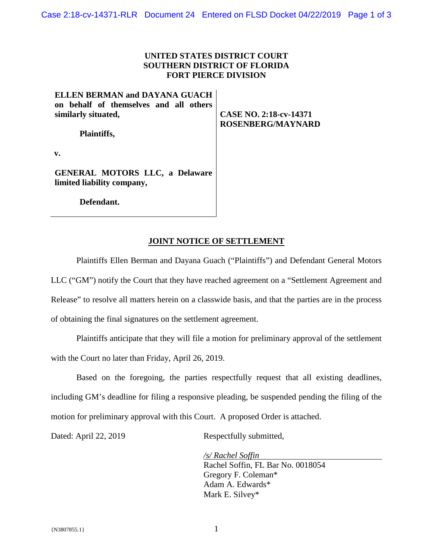#### **UNITED STATES DISTRICT COURT SOUTHERN DISTRICT OF FLORIDA FORT PIERCE DIVISION**

# **ELLEN BERMAN and DAYANA GUACH on behalf of themselves and all others similarly situated,**

**Plaintiffs,** 

**CASE NO. 2:18-cv-14371 ROSENBERG/MAYNARD** 

**v.** 

**GENERAL MOTORS LLC, a Delaware limited liability company,** 

**Defendant.** 

#### **JOINT NOTICE OF SETTLEMENT**

Plaintiffs Ellen Berman and Dayana Guach ("Plaintiffs") and Defendant General Motors LLC ("GM") notify the Court that they have reached agreement on a "Settlement Agreement and Release" to resolve all matters herein on a classwide basis, and that the parties are in the process of obtaining the final signatures on the settlement agreement.

Plaintiffs anticipate that they will file a motion for preliminary approval of the settlement with the Court no later than Friday, April 26, 2019.

Based on the foregoing, the parties respectfully request that all existing deadlines, including GM's deadline for filing a responsive pleading, be suspended pending the filing of the motion for preliminary approval with this Court. A proposed Order is attached.

Dated: April 22, 2019 Respectfully submitted,

*/s/ Rachel Soffin*  Rachel Soffin, FL Bar No. 0018054 Gregory F. Coleman\* Adam A. Edwards\* Mark E. Silvey\*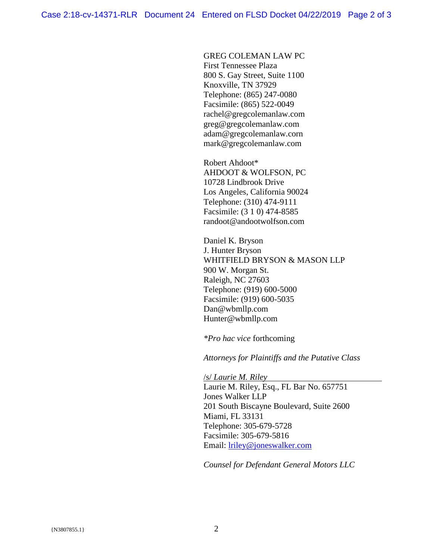GREG COLEMAN LAW PC First Tennessee Plaza 800 S. Gay Street, Suite 1100 Knoxville, TN 37929 Telephone: (865) 247-0080 Facsimile: (865) 522-0049 rachel@gregcolemanlaw.com greg@gregcolemanlaw.com adam@gregcolemanlaw.corn mark@gregcolemanlaw.com

Robert Ahdoot\* AHDOOT & WOLFSON, PC 10728 Lindbrook Drive Los Angeles, California 90024 Telephone: (310) 474-9111 Facsimile: (3 1 0) 474-8585 randoot@andootwolfson.com

Daniel K. Bryson J. Hunter Bryson WHITFIELD BRYSON & MASON LLP 900 W. Morgan St. Raleigh, NC 27603 Telephone: (919) 600-5000 Facsimile: (919) 600-5035 Dan@wbmllp.com Hunter@wbmllp.com

*\*Pro hac vice* forthcoming

*Attorneys for Plaintiffs and the Putative Class*

/s/ *Laurie M. Riley*  Laurie M. Riley, Esq., FL Bar No. 657751 Jones Walker LLP 201 South Biscayne Boulevard, Suite 2600 Miami, FL 33131 Telephone: 305-679-5728 Facsimile: 305-679-5816 Email: lriley@joneswalker.com

*Counsel for Defendant General Motors LLC*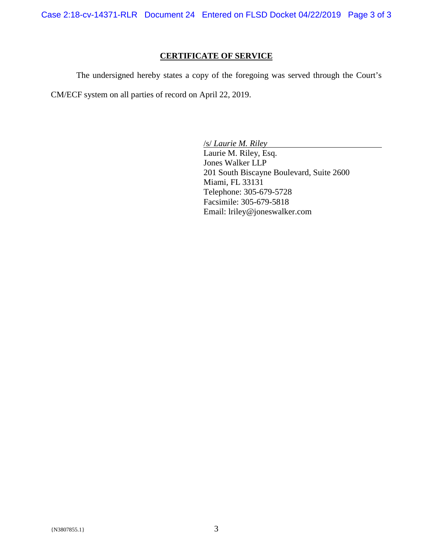Case 2:18-cv-14371-RLR Document 24 Entered on FLSD Docket 04/22/2019 Page 3 of 3

# **CERTIFICATE OF SERVICE**

The undersigned hereby states a copy of the foregoing was served through the Court's

CM/ECF system on all parties of record on April 22, 2019.

/s/ *Laurie M. Riley* 

Laurie M. Riley, Esq. Jones Walker LLP 201 South Biscayne Boulevard, Suite 2600 Miami, FL 33131 Telephone: 305-679-5728 Facsimile: 305-679-5818 Email: lriley@joneswalker.com